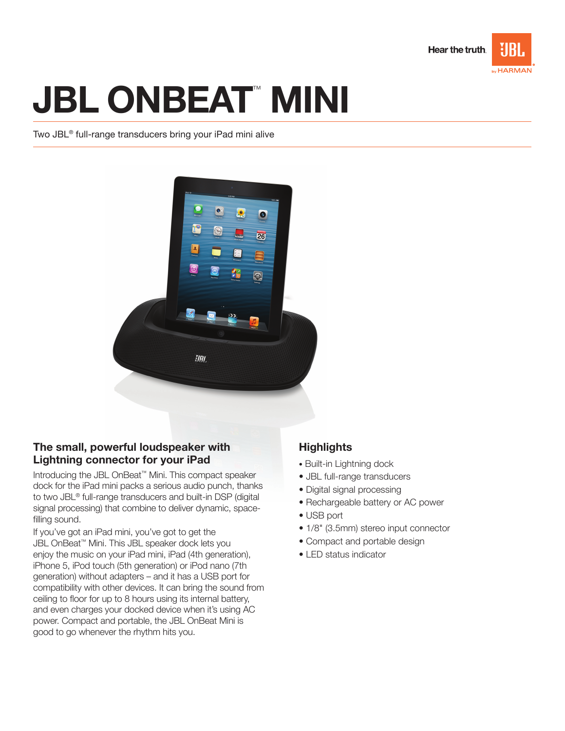

# **JBL ONBEAT" MINI**

Two JBL® full-range transducers bring your iPad mini alive



## The small, powerful loudspeaker with Lightning connector for your iPad

Introducing the JBL OnBeat™ Mini. This compact speaker dock for the iPad mini packs a serious audio punch, thanks to two JBL® full-range transducers and built-in DSP (digital signal processing) that combine to deliver dynamic, spacefilling sound.

If you've got an iPad mini, you've got to get the JBL OnBeat™ Mini. This JBL speaker dock lets you enjoy the music on your iPad mini, iPad (4th generation), iPhone 5, iPod touch (5th generation) or iPod nano (7th generation) without adapters – and it has a USB port for compatibility with other devices. It can bring the sound from ceiling to floor for up to 8 hours using its internal battery, and even charges your docked device when it's using AC power. Compact and portable, the JBL OnBeat Mini is good to go whenever the rhythm hits you.

## **Highlights**

- Built-in Lightning dock
- JBL full-range transducers
- Digital signal processing
- Rechargeable battery or AC power
- USB port
- 1/8" (3.5mm) stereo input connector
- Compact and portable design
- LED status indicator